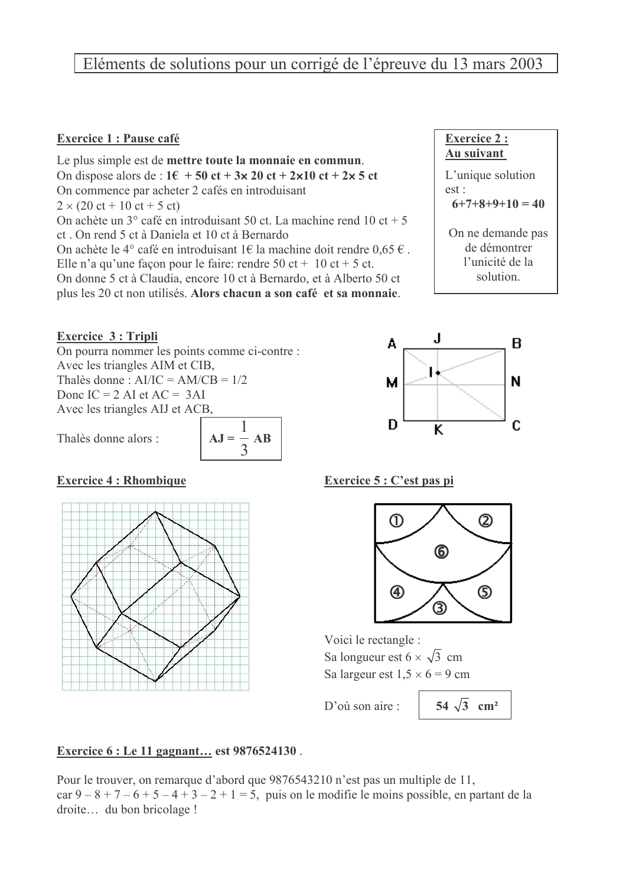# Eléments de solutions pour un corrigé de l'épreuve du 13 mars 2003

## **Exercice 1 : Pause café**

Le plus simple est de mettre toute la monnaie en commun. On dispose alors de :  $1\epsilon$  + 50 ct + 3x 20 ct + 2x10 ct + 2x 5 ct On commence par acheter 2 cafés en introduisant  $2 \times (20 \text{ ct} + 10 \text{ ct} + 5 \text{ ct})$ On achète un  $3^\circ$  café en introduisant 50 ct. La machine rend 10 ct + 5 ct. On rend 5 ct à Daniela et 10 ct à Bernardo On achète le 4° café en introduisant 1€ la machine doit rendre 0.65 €. Elle n'a qu'une façon pour le faire: rendre  $50$  ct + 10 ct + 5 ct. On donne 5 ct à Claudia, encore 10 ct à Bernardo, et à Alberto 50 ct plus les 20 ct non utilisés. Alors chacun a son café et sa monnaie.

#### **Exercice 3: Tripli**

On pourra nommer les points comme ci-contre : Avec les triangles AIM et CIB, Thalès donne:  $AI/IC = AM/CB = 1/2$ Donc IC =  $2$  AI et AC =  $3$ AI Avec les triangles AIJ et ACB.

Thalès donne alors :



#### **Exercice 4 : Rhombique**



## Exercice 6 : Le 11 gagnant... est 9876524130.

Pour le trouver, on remarque d'abord que 9876543210 n'est pas un multiple de 11, car  $9-8+7-6+5-4+3-2+1=5$ , puis on le modifie le moins possible, en partant de la droite... du bon bricolage !



solution.



#### Exercice 5 : C'est pas pi



Voici le rectangle : Sa longueur est  $6 \times \sqrt{3}$  cm Sa largeur est  $1.5 \times 6 = 9$  cm

D'ou son aire  $\cdot$ 

54  $\sqrt{3}$  cm<sup>2</sup>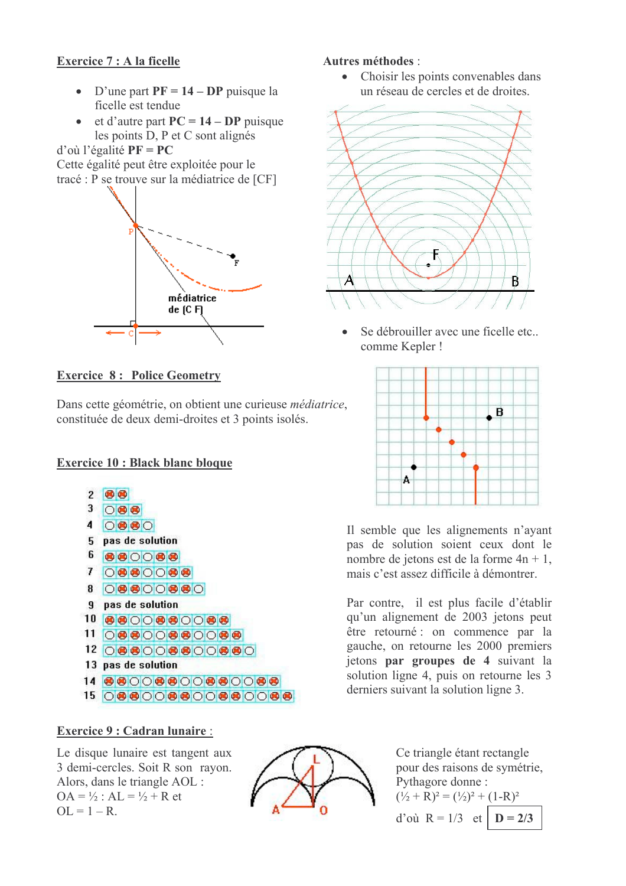# Exercice 7 : A la ficelle

- D'une part  $PF = 14 DP$  puisque la ficelle est tendue
- $\bullet$  et d'autre part  $PC = 14 DP$  puisque les points D, P et C sont alignés

#### $d'$ où l'égalité  $PF = PC$

Cette égalité peut être exploitée pour le tracé : P se trouve sur la médiatrice de [CF]



## **Exercice 8: Police Geometry**

Dans cette géométrie, on obtient une curieuse médiatrice, constituée de deux demi-droites et 3 points isolés.

## **Exercice 10 : Black blanc bloque**



#### **Exercice 9 : Cadran lunaire :**

Le disque lunaire est tangent aux 3 demi-cercles. Soit R son rayon. Alors, dans le triangle AOL :  $OA = \frac{1}{2}$ :  $AL = \frac{1}{2} + R$  et  $OL = 1 - R$ .



## Autres méthodes :

Choisir les points convenables dans  $\bullet$ un réseau de cercles et de droites.



Se débrouiller avec une ficelle etc... comme Kepler!



Il semble que les alignements n'ayant pas de solution soient ceux dont le nombre de jetons est de la forme  $4n + 1$ , mais c'est assez difficile à démontrer

Par contre, il est plus facile d'établir qu'un alignement de 2003 jetons peut être retourné : on commence par la gauche, on retourne les 2000 premiers jetons par groupes de 4 suivant la solution ligne 4, puis on retourne les 3 derniers suivant la solution ligne 3.

> Ce triangle étant rectangle pour des raisons de symétrie. Pythagore donne:  $(\frac{1}{2} + R)^2 = (\frac{1}{2})^2 + (1 - R)^2$ d'où  $R = 1/3$  et  $D = 2/3$